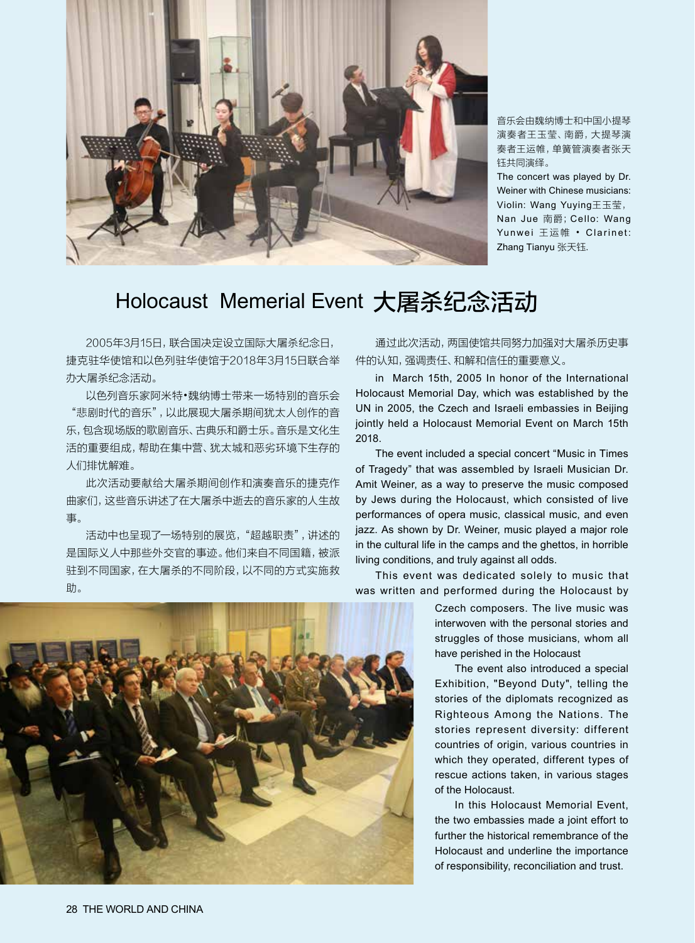

音乐会由魏纳博士和中国小提琴 演奏者王玉莹、南爵,大提琴演 奏者王运帷,单簧管演奏者张天 钰共同演绎。

The concert was played by Dr. Weiner with Chinese musicians: Violin: Wang Yuying王玉莹, Nan Jue 南爵;Cello: Wang Yunwei 王运帷 • Clarinet: Zhang Tianyu 张天钰.

## Holocaust Memerial Event 大屠杀纪念活动

2005年3月15日,联合国决定设立国际大屠杀纪念日, 捷克驻华使馆和以色列驻华使馆于2018年3月15日联合举 办大屠杀纪念活动。

以色列音乐家阿米特•魏纳博士带来一场特别的音乐会 "悲剧时代的音乐",以此展现大屠杀期间犹太人创作的音 乐,包含现场版的歌剧音乐、古典乐和爵士乐。音乐是文化生 活的重要组成,帮助在集中营、犹太城和恶劣环境下生存的 人们排忧解难。

此次活动要献给大屠杀期间创作和演奏音乐的捷克作 曲家们,这些音乐讲述了在大屠杀中逝去的音乐家的人生故 事。

活动中也呈现了一场特别的展览, "超越职责", 讲述的 是国际义人中那些外交官的事迹。他们来自不同国籍,被派 驻到不同国家,在大屠杀的不同阶段,以不同的方式实施救 助。

通过此次活动,两国使馆共同努力加强对大屠杀历史事 件的认知,强调责任、和解和信任的重要意义。

in March 15th, 2005 In honor of the International Holocaust Memorial Day, which was established by the UN in 2005, the Czech and Israeli embassies in Beijing jointly held a Holocaust Memorial Event on March 15th 2018.

The event included a special concert "Music in Times of Tragedy" that was assembled by Israeli Musician Dr. Amit Weiner, as a way to preserve the music composed by Jews during the Holocaust, which consisted of live performances of opera music, classical music, and even jazz. As shown by Dr. Weiner, music played a major role in the cultural life in the camps and the ghettos, in horrible living conditions, and truly against all odds.

This event was dedicated solely to music that was written and performed during the Holocaust by

Czech composers. The live music was interwoven with the personal stories and struggles of those musicians, whom all have perished in the Holocaust

The event also introduced a special Exhibition, "Beyond Duty", telling the stories of the diplomats recognized as Righteous Among the Nations. The stories represent diversity: different countries of origin, various countries in which they operated, different types of rescue actions taken, in various stages of the Holocaust.

In this Holocaust Memorial Event, the two embassies made a joint effort to further the historical remembrance of the Holocaust and underline the importance of responsibility, reconciliation and trust.